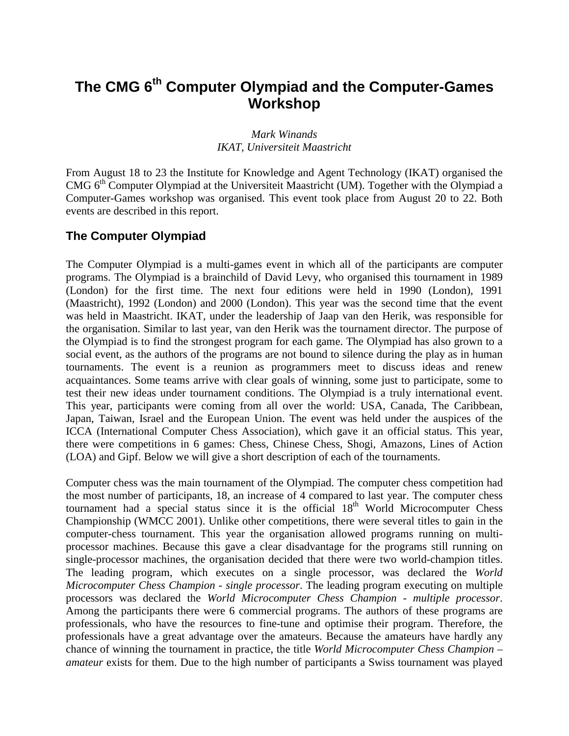# **The CMG 6th Computer Olympiad and the Computer-Games Workshop**

#### *Mark Winands IKAT, Universiteit Maastricht*

From August 18 to 23 the Institute for Knowledge and Agent Technology (IKAT) organised the CMG  $6<sup>th</sup>$  Computer Olympiad at the Universiteit Maastricht (UM). Together with the Olympiad a Computer-Games workshop was organised. This event took place from August 20 to 22. Both events are described in this report.

### **The Computer Olympiad**

The Computer Olympiad is a multi-games event in which all of the participants are computer programs. The Olympiad is a brainchild of David Levy, who organised this tournament in 1989 (London) for the first time. The next four editions were held in 1990 (London), 1991 (Maastricht), 1992 (London) and 2000 (London). This year was the second time that the event was held in Maastricht. IKAT, under the leadership of Jaap van den Herik, was responsible for the organisation. Similar to last year, van den Herik was the tournament director. The purpose of the Olympiad is to find the strongest program for each game. The Olympiad has also grown to a social event, as the authors of the programs are not bound to silence during the play as in human tournaments. The event is a reunion as programmers meet to discuss ideas and renew acquaintances. Some teams arrive with clear goals of winning, some just to participate, some to test their new ideas under tournament conditions. The Olympiad is a truly international event. This year, participants were coming from all over the world: USA, Canada, The Caribbean, Japan, Taiwan, Israel and the European Union. The event was held under the auspices of the ICCA (International Computer Chess Association), which gave it an official status. This year, there were competitions in 6 games: Chess, Chinese Chess, Shogi, Amazons, Lines of Action (LOA) and Gipf. Below we will give a short description of each of the tournaments.

Computer chess was the main tournament of the Olympiad. The computer chess competition had the most number of participants, 18, an increase of 4 compared to last year. The computer chess tournament had a special status since it is the official  $18<sup>th</sup>$  World Microcomputer Chess Championship (WMCC 2001). Unlike other competitions, there were several titles to gain in the computer-chess tournament. This year the organisation allowed programs running on multiprocessor machines. Because this gave a clear disadvantage for the programs still running on single-processor machines, the organisation decided that there were two world-champion titles. The leading program, which executes on a single processor, was declared the *World Microcomputer Chess Champion - single processor*. The leading program executing on multiple processors was declared the *World Microcomputer Chess Champion - multiple processor*. Among the participants there were 6 commercial programs. The authors of these programs are professionals, who have the resources to fine-tune and optimise their program. Therefore, the professionals have a great advantage over the amateurs. Because the amateurs have hardly any chance of winning the tournament in practice, the title *World Microcomputer Chess Champion – amateur* exists for them. Due to the high number of participants a Swiss tournament was played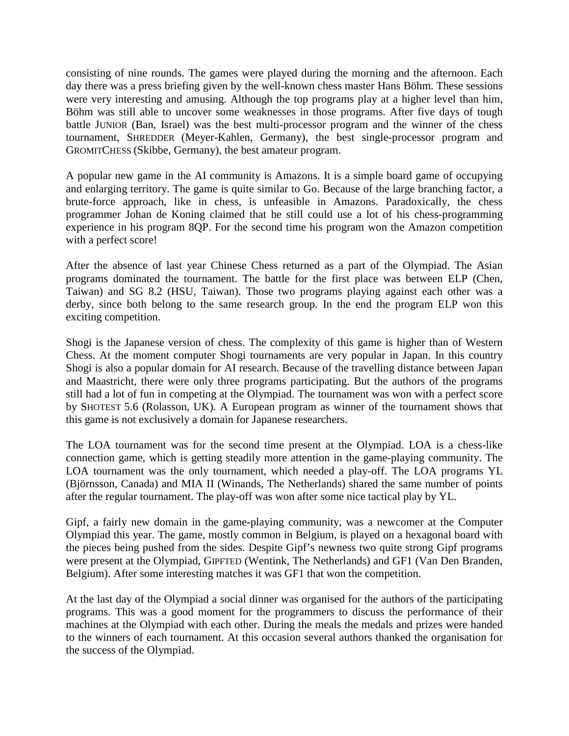consisting of nine rounds. The games were played during the morning and the afternoon. Each day there was a press briefing given by the well-known chess master Hans Böhm. These sessions were very interesting and amusing. Although the top programs play at a higher level than him, Böhm was still able to uncover some weaknesses in those programs. After five days of tough battle JUNIOR (Ban, Israel) was the best multi-processor program and the winner of the chess tournament, SHREDDER (Meyer-Kahlen, Germany), the best single-processor program and GROMITCHESS (Skibbe, Germany), the best amateur program.

A popular new game in the AI community is Amazons. It is a simple board game of occupying and enlarging territory. The game is quite similar to Go. Because of the large branching factor, a brute-force approach, like in chess, is unfeasible in Amazons. Paradoxically, the chess programmer Johan de Koning claimed that he still could use a lot of his chess-programming experience in his program 8QP. For the second time his program won the Amazon competition with a perfect score!

After the absence of last year Chinese Chess returned as a part of the Olympiad. The Asian programs dominated the tournament. The battle for the first place was between ELP (Chen, Taiwan) and SG 8.2 (HSU, Taiwan). Those two programs playing against each other was a derby, since both belong to the same research group. In the end the program ELP won this exciting competition.

Shogi is the Japanese version of chess. The complexity of this game is higher than of Western Chess. At the moment computer Shogi tournaments are very popular in Japan. In this country Shogi is also a popular domain for AI research. Because of the travelling distance between Japan and Maastricht, there were only three programs participating. But the authors of the programs still had a lot of fun in competing at the Olympiad. The tournament was won with a perfect score by SHOTEST 5.6 (Rolasson, UK). A European program as winner of the tournament shows that this game is not exclusively a domain for Japanese researchers.

The LOA tournament was for the second time present at the Olympiad. LOA is a chess-like connection game, which is getting steadily more attention in the game-playing community. The LOA tournament was the only tournament, which needed a play-off. The LOA programs YL (Björnsson, Canada) and MIA II (Winands, The Netherlands) shared the same number of points after the regular tournament. The play-off was won after some nice tactical play by YL.

Gipf, a fairly new domain in the game-playing community, was a newcomer at the Computer Olympiad this year. The game, mostly common in Belgium, is played on a hexagonal board with the pieces being pushed from the sides. Despite Gipf's newness two quite strong Gipf programs were present at the Olympiad, GIPFTED (Wentink, The Netherlands) and GF1 (Van Den Branden, Belgium). After some interesting matches it was GF1 that won the competition.

At the last day of the Olympiad a social dinner was organised for the authors of the participating programs. This was a good moment for the programmers to discuss the performance of their machines at the Olympiad with each other. During the meals the medals and prizes were handed to the winners of each tournament. At this occasion several authors thanked the organisation for the success of the Olympiad.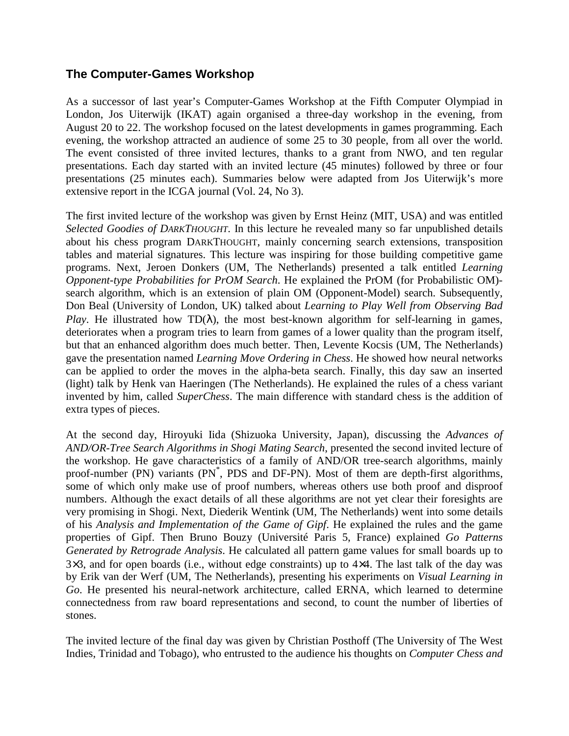#### **The Computer-Games Workshop**

As a successor of last year's Computer-Games Workshop at the Fifth Computer Olympiad in London, Jos Uiterwijk (IKAT) again organised a three-day workshop in the evening, from August 20 to 22. The workshop focused on the latest developments in games programming. Each evening, the workshop attracted an audience of some 25 to 30 people, from all over the world. The event consisted of three invited lectures, thanks to a grant from NWO, and ten regular presentations. Each day started with an invited lecture (45 minutes) followed by three or four presentations (25 minutes each). Summaries below were adapted from Jos Uiterwijk's more extensive report in the ICGA journal (Vol. 24, No 3).

The first invited lecture of the workshop was given by Ernst Heinz (MIT, USA) and was entitled *Selected Goodies of DARKTHOUGHT*. In this lecture he revealed many so far unpublished details about his chess program DARKTHOUGHT, mainly concerning search extensions, transposition tables and material signatures. This lecture was inspiring for those building competitive game programs. Next, Jeroen Donkers (UM, The Netherlands) presented a talk entitled *Learning Opponent-type Probabilities for PrOM Search*. He explained the PrOM (for Probabilistic OM) search algorithm, which is an extension of plain OM (Opponent-Model) search. Subsequently, Don Beal (University of London, UK) talked about *Learning to Play Well from Observing Bad Play*. He illustrated how  $TD(\lambda)$ , the most best-known algorithm for self-learning in games, deteriorates when a program tries to learn from games of a lower quality than the program itself, but that an enhanced algorithm does much better. Then, Levente Kocsis (UM, The Netherlands) gave the presentation named *Learning Move Ordering in Chess*. He showed how neural networks can be applied to order the moves in the alpha-beta search. Finally, this day saw an inserted (light) talk by Henk van Haeringen (The Netherlands). He explained the rules of a chess variant invented by him, called *SuperChess*. The main difference with standard chess is the addition of extra types of pieces.

At the second day, Hiroyuki Iida (Shizuoka University, Japan), discussing the *Advances of AND/OR-Tree Search Algorithms in Shogi Mating Search*, presented the second invited lecture of the workshop. He gave characteristics of a family of AND/OR tree-search algorithms, mainly proof-number (PN) variants (PN<sup>\*</sup>, PDS and DF-PN). Most of them are depth-first algorithms, some of which only make use of proof numbers, whereas others use both proof and disproof numbers. Although the exact details of all these algorithms are not yet clear their foresights are very promising in Shogi. Next, Diederik Wentink (UM, The Netherlands) went into some details of his *Analysis and Implementation of the Game of Gipf*. He explained the rules and the game properties of Gipf. Then Bruno Bouzy (Université Paris 5, France) explained *Go Patterns Generated by Retrograde Analysis*. He calculated all pattern game values for small boards up to 3×3, and for open boards (i.e., without edge constraints) up to 4×4. The last talk of the day was by Erik van der Werf (UM, The Netherlands), presenting his experiments on *Visual Learning in Go*. He presented his neural-network architecture, called ERNA, which learned to determine connectedness from raw board representations and second, to count the number of liberties of stones.

The invited lecture of the final day was given by Christian Posthoff (The University of The West Indies, Trinidad and Tobago), who entrusted to the audience his thoughts on *Computer Chess and*